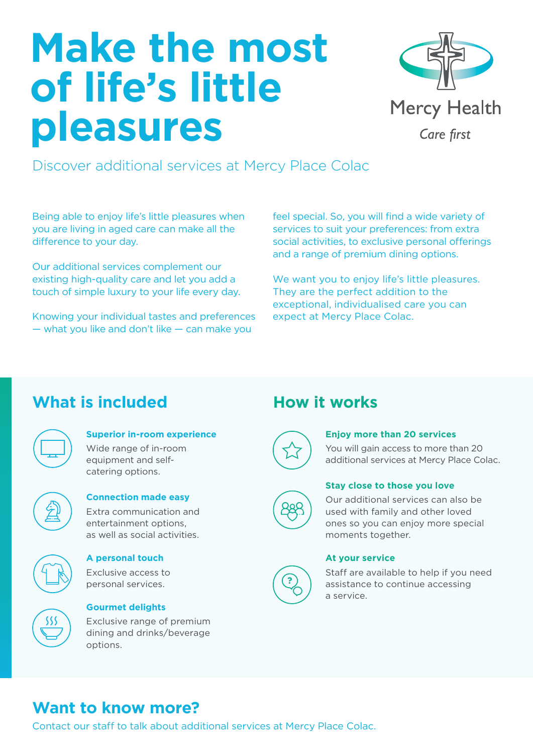# **Make the most of life's little pleasures**



Discover additional services at Mercy Place Colac

Being able to enjoy life's little pleasures when you are living in aged care can make all the difference to your day.

Our additional services complement our existing high-quality care and let you add a touch of simple luxury to your life every day.

Knowing your individual tastes and preferences — what you like and don't like — can make you

feel special. So, you will find a wide variety of services to suit your preferences: from extra social activities, to exclusive personal offerings and a range of premium dining options.

We want you to enjoy life's little pleasures. They are the perfect addition to the exceptional, individualised care you can expect at Mercy Place Colac.

## **What is included How it works**

| г |  |
|---|--|
|   |  |

## **Superior in-room experience**

Wide range of in-room equipment and selfcatering options.



#### **Connection made easy** Extra communication and

entertainment options, as well as social activities.



## **A personal touch**

Exclusive access to personal services.



## **Gourmet delights**

Exclusive range of premium dining and drinks/beverage options.



**?**

#### **Enjoy more than 20 services**

You will gain access to more than 20 additional services at Mercy Place Colac.

## **Stay close to those you love**

Our additional services can also be used with family and other loved ones so you can enjoy more special moments together.

#### **At your service**

Staff are available to help if you need assistance to continue accessing a service.

## **Want to know more?**

Contact our staff to talk about additional services at Mercy Place Colac.